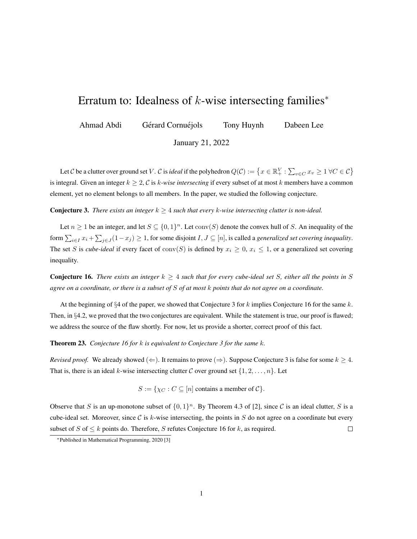## Erratum to: Idealness of  $k$ -wise intersecting families<sup>\*</sup>

Ahmad Abdi Gérard Cornuéjols Tony Huynh Dabeen Lee

January 21, 2022

Let  $C$  be a clutter over ground set V .  $C$  is *ideal* if the polyhedron  $Q(C) := \left\{ x \in \mathbb{R}^V_+ : \sum_{v \in C} x_v \geq 1 \ \forall C \in C \right\}$ is integral. Given an integer  $k \geq 2$ , C is k-wise intersecting if every subset of at most k members have a common element, yet no element belongs to all members. In the paper, we studied the following conjecture.

**Conjecture 3.** *There exists an integer*  $k \geq 4$  *such that every* k-wise intersecting clutter is non-ideal.

Let  $n \geq 1$  be an integer, and let  $S \subseteq \{0,1\}^n$ . Let  $\text{conv}(S)$  denote the convex hull of S. An inequality of the form  $\sum_{i\in I}x_i+\sum_{j\in J}(1-x_j)\geq 1$ , for some disjoint  $I,J\subseteq [n]$ , is called a *generalized set covering inequality*. The set S is *cube-ideal* if every facet of  $conv(S)$  is defined by  $x_i \geq 0$ ,  $x_i \leq 1$ , or a generalized set covering inequality.

Conjecture 16. *There exists an integer*  $k \geq 4$  *such that for every cube-ideal set* S, either all the points in S *agree on a coordinate, or there is a subset of* S *of at most* k *points that do not agree on a coordinate.*

At the beginning of  $\S 4$  of the paper, we showed that Conjecture 3 for k implies Conjecture 16 for the same k. Then, in §4.2, we proved that the two conjectures are equivalent. While the statement is true, our proof is flawed; we address the source of the flaw shortly. For now, let us provide a shorter, correct proof of this fact.

Theorem 23. *Conjecture 16 for* k *is equivalent to Conjecture 3 for the same* k*.*

*Revised proof.* We already showed ( $\Leftarrow$ ). It remains to prove ( $\Rightarrow$ ). Suppose Conjecture 3 is false for some  $k \geq 4$ . That is, there is an ideal k-wise intersecting clutter C over ground set  $\{1, 2, \ldots, n\}$ . Let

 $S := \{ \chi_C : C \subseteq [n] \text{ contains a member of } C \}.$ 

Observe that S is an up-monotone subset of  $\{0,1\}^n$ . By Theorem 4.3 of [2], since C is an ideal clutter, S is a cube-ideal set. Moreover, since C is k-wise intersecting, the points in S do not agree on a coordinate but every subset of S of  $\leq k$  points do. Therefore, S refutes Conjecture 16 for k, as required.  $\Box$ 

<sup>∗</sup>Published in Mathematical Programming, 2020 [3]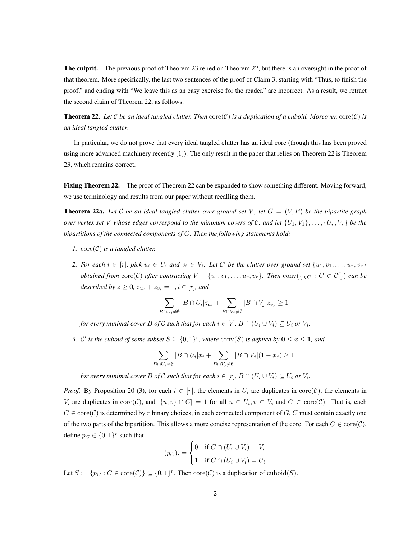The culprit. The previous proof of Theorem 23 relied on Theorem 22, but there is an oversight in the proof of that theorem. More specifically, the last two sentences of the proof of Claim 3, starting with "Thus, to finish the proof," and ending with "We leave this as an easy exercise for the reader." are incorrect. As a result, we retract the second claim of Theorem 22, as follows.

**Theorem 22.** Let C be an ideal tangled clutter. Then  $\text{core}(\mathcal{C})$  is a duplication of a cuboid. Moreover,  $\text{core}(\mathcal{C})$  is *an ideal tangled clutter.*

In particular, we do not prove that every ideal tangled clutter has an ideal core (though this has been proved using more advanced machinery recently [1]). The only result in the paper that relies on Theorem 22 is Theorem 23, which remains correct.

Fixing Theorem 22. The proof of Theorem 22 can be expanded to show something different. Moving forward, we use terminology and results from our paper without recalling them.

**Theorem 22a.** Let C be an ideal tangled clutter over ground set V, let  $G = (V, E)$  be the bipartite graph *over vertex set* V *whose edges correspond to the minimum covers of* C, and let  $\{U_1, V_1\}, \ldots, \{U_r, V_r\}$  be the *bipartitions of the connected components of* G*. Then the following statements hold:*

- *1.*  $\operatorname{core}(\mathcal{C})$  *is a tangled clutter.*
- 2. For each  $i \in [r]$ , pick  $u_i \in U_i$  and  $v_i \in V_i$ . Let C' be the clutter over ground set  $\{u_1, v_1, \ldots, u_r, v_r\}$ *obtained from*  $\text{core}(\mathcal{C})$  *after contracting*  $V - \{u_1, v_1, \ldots, u_r, v_r\}$ *. Then*  $\text{conv}(\{\chi_C : C \in \mathcal{C}'\})$  *can be described by*  $z \ge 0$ *,*  $z_{u_i} + z_{v_i} = 1$ *,*  $i \in [r]$ *<i>, and*

$$
\sum_{B \cap U_i \neq \emptyset} |B \cap U_i| z_{u_i} + \sum_{B \cap V_j \neq \emptyset} |B \cap V_j| z_{v_j} \ge 1
$$

*for every minimal cover B of*  $\mathcal C$  *such that for each*  $i \in [r]$ *,*  $B \cap (U_i \cup V_i) \subseteq U_i$  *or*  $V_i$ *.* 

*3.* C' is the cuboid of some subset  $S \subseteq \{0,1\}^r$ , where  $\text{conv}(S)$  is defined by  $0 \le x \le 1$ , and

$$
\sum_{B \cap U_i \neq \emptyset} |B \cap U_i| x_i + \sum_{B \cap V_j \neq \emptyset} |B \cap V_j| (1 - x_j) \ge 1
$$

*for every minimal cover B of*  $\mathcal C$  *such that for each*  $i \in [r]$ *,*  $B \cap (U_i \cup V_i) \subseteq U_i$  *or*  $V_i.$ 

*Proof.* By Proposition 20 (3), for each  $i \in [r]$ , the elements in  $U_i$  are duplicates in core(C), the elements in  $V_i$  are duplicates in  $\text{core}(\mathcal{C})$ , and  $|\{u, v\} \cap C| = 1$  for all  $u \in U_i$ ,  $v \in V_i$  and  $C \in \text{core}(\mathcal{C})$ . That is, each  $C \in \text{core}(\mathcal{C})$  is determined by r binary choices; in each connected component of G, C must contain exactly one of the two parts of the bipartition. This allows a more concise representation of the core. For each  $C \in \text{core}(\mathcal{C})$ , define  $p_C \in \{0,1\}^r$  such that

$$
(p_C)_i = \begin{cases} 0 & \text{if } C \cap (U_i \cup V_i) = V_i \\ 1 & \text{if } C \cap (U_i \cup V_i) = U_i \end{cases}
$$

Let  $S := \{p_C : C \in \text{core}(\mathcal{C})\} \subseteq \{0, 1\}^r$ . Then  $\text{core}(\mathcal{C})$  is a duplication of  $\text{cuboid}(S)$ .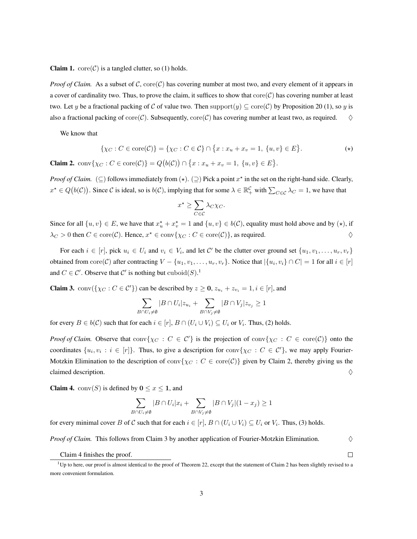**Claim 1.**  $\operatorname{core}(\mathcal{C})$  is a tangled clutter, so (1) holds.

*Proof of Claim.* As a subset of C,  $\text{core}(\mathcal{C})$  has covering number at most two, and every element of it appears in a cover of cardinality two. Thus, to prove the claim, it suffices to show that  $\text{core}(\mathcal{C})$  has covering number at least two. Let y be a fractional packing of C of value two. Then support $(y) \subseteq \text{core}(\mathcal{C})$  by Proposition 20 (1), so y is also a fractional packing of core $(C)$ . Subsequently, core $(C)$  has covering number at least two, as required.  $\diamondsuit$ 

We know that

$$
\{\chi_C : C \in \text{core}(\mathcal{C})\} = \{\chi_C : C \in \mathcal{C}\} \cap \{x : x_u + x_v = 1, \{u, v\} \in E\}.
$$
 (\*)

**Claim 2.**  $conv\{\chi_C : C \in core(C)\} = Q(b(C)) \cap \{x : x_u + x_v = 1, \{u, v\} \in E\}.$ 

*Proof of Claim.* ( $\subseteq$ ) follows immediately from  $(\star)$ .  $(\supseteq)$  Pick a point  $x^*$  in the set on the right-hand side. Clearly,  $x^* \in Q(b(\mathcal{C}))$ . Since C is ideal, so is  $b(\mathcal{C})$ , implying that for some  $\lambda \in \mathbb{R}_+^{\mathcal{C}}$  with  $\sum_{C \in \mathcal{C}} \lambda_C = 1$ , we have that

$$
x^* \ge \sum_{C \in \mathcal{C}} \lambda_C \chi_C.
$$

Since for all  $\{u, v\} \in E$ , we have that  $x_u^* + x_v^* = 1$  and  $\{u, v\} \in b(C)$ , equality must hold above and by  $(\star)$ , if  $\lambda_C > 0$  then  $C \in \text{core}(\mathcal{C})$ . Hence,  $x^* \in \text{conv}\{\chi_C : C \in \text{core}(\mathcal{C})\}$ , as required.

For each  $i \in [r]$ , pick  $u_i \in U_i$  and  $v_i \in V_i$ , and let C' be the clutter over ground set  $\{u_1, v_1, \ldots, u_r, v_r\}$ obtained from  $\text{core}(\mathcal{C})$  after contracting  $V - \{u_1, v_1, \ldots, u_r, v_r\}$ . Notice that  $|\{u_i, v_i\} \cap C| = 1$  for all  $i \in [r]$ and  $C \in \mathcal{C}'$ . Observe that  $\mathcal{C}'$  is nothing but  $\mathrm{cuboid}(S)$ .<sup>1</sup>

**Claim 3.** conv({ $\chi_C : C \in C'$ }) can be described by  $z \ge 0$ ,  $z_{u_i} + z_{v_i} = 1$ ,  $i \in [r]$ , and

$$
\sum_{B \cap U_i \neq \emptyset} |B \cap U_i| z_{u_i} + \sum_{B \cap V_j \neq \emptyset} |B \cap V_j| z_{v_j} \ge 1
$$

for every  $B \in b(\mathcal{C})$  such that for each  $i \in [r]$ ,  $B \cap (U_i \cup V_i) \subseteq U_i$  or  $V_i$ . Thus, (2) holds.

*Proof of Claim.* Observe that  $conv\{\chi_C : C \in C'\}$  is the projection of  $conv\{\chi_C : C \in core(C)\}$  onto the coordinates  $\{u_i, v_i : i \in [r]\}\$ . Thus, to give a description for  $conv\{\chi_C : C \in C'\}$ , we may apply Fourier-Motzkin Elimination to the description of  $\text{conv}\{\chi_C : C \in \text{core}(\mathcal{C})\}$  given by Claim 2, thereby giving us the claimed description.  $\Diamond$ 

**Claim 4.** conv $(S)$  is defined by  $0 \le x \le 1$ , and

$$
\sum_{B \cap U_i \neq \emptyset} |B \cap U_i| x_i + \sum_{B \cap V_j \neq \emptyset} |B \cap V_j| (1 - x_j) \geq 1
$$

for every minimal cover B of C such that for each  $i \in [r]$ ,  $B \cap (U_i \cup V_i) \subseteq U_i$  or  $V_i$ . Thus, (3) holds.

*Proof of Claim.* This follows from Claim 3 by another application of Fourier-Motzkin Elimination.  $\Diamond$ 

 $\Box$ 

Claim 4 finishes the proof.

 $1$ Up to here, our proof is almost identical to the proof of Theorem 22, except that the statement of Claim 2 has been slightly revised to a more convenient formulation.